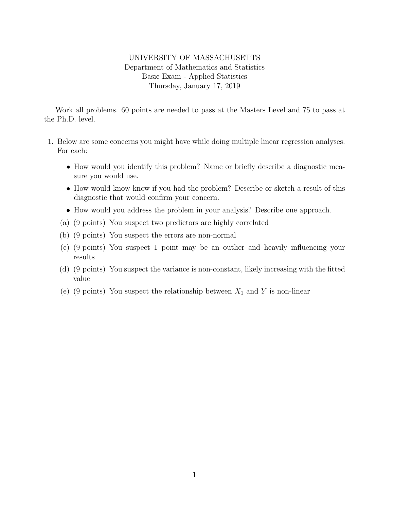## UNIVERSITY OF MASSACHUSETTS Department of Mathematics and Statistics Basic Exam - Applied Statistics Thursday, January 17, 2019

Work all problems. 60 points are needed to pass at the Masters Level and 75 to pass at the Ph.D. level.

- 1. Below are some concerns you might have while doing multiple linear regression analyses. For each:
	- How would you identify this problem? Name or briefly describe a diagnostic measure you would use.
	- How would know know if you had the problem? Describe or sketch a result of this diagnostic that would confirm your concern.
	- How would you address the problem in your analysis? Describe one approach.
	- (a) (9 points) You suspect two predictors are highly correlated
	- (b) (9 points) You suspect the errors are non-normal
	- (c) (9 points) You suspect 1 point may be an outlier and heavily influencing your results
	- (d) (9 points) You suspect the variance is non-constant, likely increasing with the fitted value
	- (e) (9 points) You suspect the relationship between  $X_1$  and Y is non-linear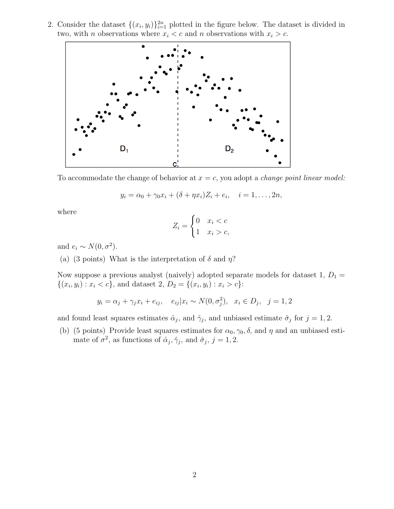2. Consider the dataset  $\{(x_i, y_i)\}_{i=1}^{2n}$  plotted in the figure below. The dataset is divided in two, with *n* observations where  $x_i < c$  and *n* observations with  $x_i > c$ .



To accommodate the change of behavior at  $x = c$ , you adopt a *change point linear model:* 

$$
y_i = \alpha_0 + \gamma_0 x_i + (\delta + \eta x_i) Z_i + e_i, \quad i = 1, ..., 2n,
$$

where

$$
Z_i = \begin{cases} 0 & x_i < c \\ 1 & x_i > c, \end{cases}
$$

and  $e_i \sim N(0, \sigma^2)$ .

(a) (3 points) What is the interpretation of  $\delta$  and  $\eta$ ?

Now suppose a previous analyst (naively) adopted separate models for dataset 1,  $D_1 =$  $\{(x_i, y_i) : x_i < c\}$ , and dataset 2,  $D_2 = \{(x_i, y_i) : x_i > c\}$ :

$$
y_i = \alpha_j + \gamma_j x_i + e_{ij}, \quad e_{ij} | x_i \sim N(0, \sigma_j^2), \quad x_i \in D_j, \quad j = 1, 2
$$

and found least squares estimates  $\hat{\alpha}_j$ , and  $\hat{\gamma}_j$ , and unbiased estimate  $\hat{\sigma}_j$  for  $j = 1, 2$ .

(b) (5 points) Provide least squares estimates for  $\alpha_0, \gamma_0, \delta$ , and  $\eta$  and an unbiased estimate of  $\sigma^2$ , as functions of  $\hat{\alpha}_j, \hat{\gamma}_j$ , and  $\hat{\sigma}_j, j = 1, 2$ .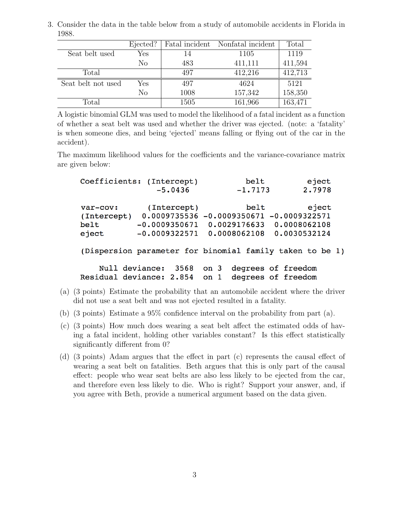3. Consider the data in the table below from a study of automobile accidents in Florida in 1988.

|                    | Ejected?       |      | Fatal incident Nonfatal incident | Total   |
|--------------------|----------------|------|----------------------------------|---------|
| Seat belt used     | Yes            | 14   | 1105                             | 1119    |
|                    | N <sub>o</sub> | 483  | 411,111                          | 411,594 |
| Total              |                | 497  | 412,216                          | 412,713 |
| Seat belt not used | Yes            | 497  | 4624                             | 5121    |
|                    | N <sub>o</sub> | 1008 | 157,342                          | 158,350 |
| Total              |                | 1505 | 161,966                          | 163,471 |

A logistic binomial GLM was used to model the likelihood of a fatal incident as a function of whether a seat belt was used and whether the driver was ejected. (note: a 'fatality' is when someone dies, and being 'ejected' means falling or flying out of the car in the accident).

The maximum likelihood values for the coefficients and the variance-covariance matrix are given below:

|                | Coefficients: (Intercept)     | belt                                         | eject                                                    |
|----------------|-------------------------------|----------------------------------------------|----------------------------------------------------------|
|                | $-5.0436$                     | $-1.7173$                                    | 2.7978                                                   |
| var-cov:       | (Intercept)                   | belt                                         | eject                                                    |
| (Intercept)    |                               | $0.0009735536 - 0.0009350671 - 0.0009322571$ |                                                          |
| belt           | $-0.0009350671$               | 0.0029176633                                 | 0.0008062108                                             |
| eject          | $-0.0009322571$               | 0.0008062108                                 | 0.0030532124                                             |
|                |                               |                                              | (Dispersion parameter for binomial family taken to be 1) |
| Null deviance: | 3568                          | on 3                                         | degrees of freedom                                       |
|                | Residual deviance: 2.854 on 1 |                                              | degrees of freedom                                       |

- (a) (3 points) Estimate the probability that an automobile accident where the driver did not use a seat belt and was not ejected resulted in a fatality.
- (b) (3 points) Estimate a 95% confidence interval on the probability from part (a).
- (c) (3 points) How much does wearing a seat belt affect the estimated odds of having a fatal incident, holding other variables constant? Is this effect statistically significantly different from 0?
- (d) (3 points) Adam argues that the effect in part (c) represents the causal effect of wearing a seat belt on fatalities. Beth argues that this is only part of the causal effect: people who wear seat belts are also less likely to be ejected from the car, and therefore even less likely to die. Who is right? Support your answer, and, if you agree with Beth, provide a numerical argument based on the data given.